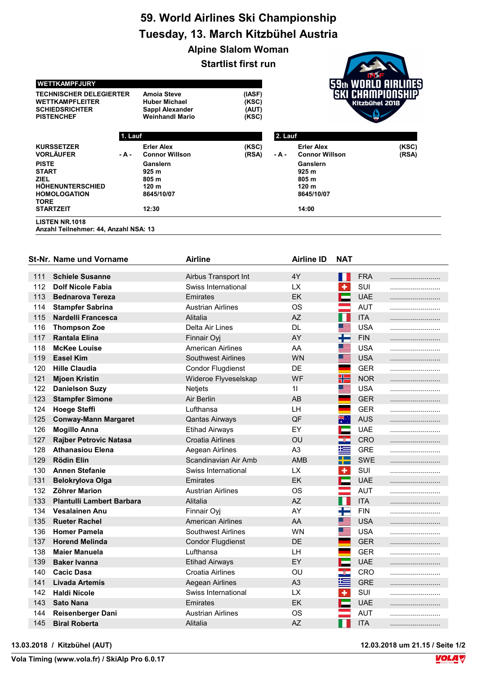## 59. World Airlines Ski Championship Tuesday, 13. March Kitzbühel Austria Alpine Slalom Woman

Startlist first run

och

| <b>WETTKAMPFJURY</b><br><b>TECHNISCHER DELEGIERTER</b><br><b>WETTKAMPFLEITER</b><br><b>SCHIEDSRICHTER</b><br><b>PISTENCHEF</b>   |         | Amoia Steve<br><b>Huber Michael</b><br>Sappl Alexander<br><b>Weinhandl Mario</b> | (IASF)<br>(KSC)<br>(AUT)<br>(KSC) | ण−≥ा<br>WH<br><b>CHAMPIONSHIP</b><br><b>ISKIT</b><br>Kitzbühel 2018 |                                                                       |                |
|----------------------------------------------------------------------------------------------------------------------------------|---------|----------------------------------------------------------------------------------|-----------------------------------|---------------------------------------------------------------------|-----------------------------------------------------------------------|----------------|
|                                                                                                                                  | 1. Lauf |                                                                                  |                                   | 2. Lauf                                                             |                                                                       |                |
| <b>KURSSETZER</b><br><b>VORLÄUFER</b>                                                                                            | - A -   | <b>Erler Alex</b><br><b>Connor Willson</b>                                       | (KSC)<br>(RSA)                    | - A -                                                               | <b>Erler Alex</b><br><b>Connor Willson</b>                            | (KSC)<br>(RSA) |
| <b>PISTE</b><br><b>START</b><br><b>ZIEL</b><br><b>HÖHENUNTERSCHIED</b><br><b>HOMOLOGATION</b><br><b>TORE</b><br><b>STARTZEIT</b> |         | Ganslern<br>925 m<br>805 m<br>120 m<br>8645/10/07<br>12:30                       |                                   |                                                                     | Ganslern<br>925 m<br>805 m<br>120 <sub>m</sub><br>8645/10/07<br>14:00 |                |
| <b>LISTEN NR.1018</b><br>Anzahl Teilnehmer: 44, Anzahl NSA: 13                                                                   |         |                                                                                  |                                   |                                                                     |                                                                       |                |

| 4Y<br>111<br><b>Schiele Susanne</b><br>Airbus Transport Int<br>$\blacksquare$<br><b>FRA</b><br>112<br><b>Dolf Nicole Fabia</b><br>Swiss International<br>LX<br>$\leftarrow$<br>SUI                                                                                                                |  |
|---------------------------------------------------------------------------------------------------------------------------------------------------------------------------------------------------------------------------------------------------------------------------------------------------|--|
|                                                                                                                                                                                                                                                                                                   |  |
|                                                                                                                                                                                                                                                                                                   |  |
|                                                                                                                                                                                                                                                                                                   |  |
| 113<br>EK<br>E<br><b>Bednarova Tereza</b><br>Emirates<br><b>UAE</b>                                                                                                                                                                                                                               |  |
| <b>OS</b><br>114<br><b>Stampfer Sabrina</b><br><b>Austrian Airlines</b><br>and and<br><b>AUT</b>                                                                                                                                                                                                  |  |
| 115<br>Alitalia<br><b>AZ</b><br><b>ITA</b><br><b>Nardelli Francesca</b><br>M.                                                                                                                                                                                                                     |  |
| <u> a s</u><br><b>DL</b><br><b>USA</b><br>116<br>Delta Air Lines<br><b>Thompson Zoe</b>                                                                                                                                                                                                           |  |
| Ŧ<br>AY<br><b>FIN</b><br>117<br><b>Rantala Elina</b><br>Finnair Oyj                                                                                                                                                                                                                               |  |
| ≝<br>AA<br><b>USA</b><br>118<br><b>McKee Louise</b><br><b>American Airlines</b>                                                                                                                                                                                                                   |  |
| ▀<br>119<br><b>WN</b><br><b>USA</b><br><b>Easel Kim</b><br><b>Southwest Airlines</b>                                                                                                                                                                                                              |  |
| 120<br><b>Condor Flugdienst</b><br>DE<br><b>GER</b><br><b>Hille Claudia</b>                                                                                                                                                                                                                       |  |
| 2년<br>121<br>Wideroe Flyveselskap<br>WF<br><b>NOR</b><br><b>Mjoen Kristin</b>                                                                                                                                                                                                                     |  |
| ▆▆<br>11<br>122<br>Netjets<br><b>USA</b><br><b>Danielson Suzy</b>                                                                                                                                                                                                                                 |  |
| and and the contract of the contract of the contract of the contract of the contract of the contract of the contract of the contract of the contract of the contract of the contract of the contract of the contract of the co<br>123<br>AB<br>Air Berlin<br><b>GER</b><br><b>Stampfer Simone</b> |  |
| LH<br>124<br>Lufthansa<br><b>GER</b><br><b>Hoege Steffi</b>                                                                                                                                                                                                                                       |  |
| ँहँँ<br>QF<br><b>AUS</b><br>125<br><b>Conway-Mann Margaret</b><br><b>Qantas Airways</b>                                                                                                                                                                                                           |  |
| Е<br>EY<br><b>UAE</b><br>126<br><b>Mogillo Anna</b><br><b>Etihad Airways</b>                                                                                                                                                                                                                      |  |
| -8<br>127<br><b>Croatia Airlines</b><br>OU<br>CRO<br><b>Rajber Petrovic Natasa</b>                                                                                                                                                                                                                |  |
| 鉴<br>A <sub>3</sub><br><b>GRE</b><br>128<br><b>Athanasiou Elena</b><br>Aegean Airlines                                                                                                                                                                                                            |  |
| ┽<br>129<br><b>Rödin Elin</b><br><b>AMB</b><br><b>SWE</b><br>Scandinavian Air Amb                                                                                                                                                                                                                 |  |
| <b>LX</b><br>$\bullet$<br>SUI<br>130<br><b>Annen Stefanie</b><br>Swiss International                                                                                                                                                                                                              |  |
| $\overline{\phantom{a}}$<br>EK<br>131<br><b>Belokrylova Olga</b><br><b>UAE</b><br>Emirates                                                                                                                                                                                                        |  |
| 132<br><b>OS</b><br><b>AUT</b><br><b>Zöhrer Marion</b><br><b>Austrian Airlines</b><br>and a                                                                                                                                                                                                       |  |
| 133<br><b>Plantulli Lambert Barbara</b><br>Alitalia<br>AZ<br>ш<br><b>ITA</b>                                                                                                                                                                                                                      |  |
| ÷<br>AY<br><b>FIN</b><br>134<br><b>Vesalainen Anu</b><br>Finnair Oyj                                                                                                                                                                                                                              |  |
| ▓<br>135<br>AA<br><b>USA</b><br><b>Rueter Rachel</b><br><b>American Airlines</b>                                                                                                                                                                                                                  |  |
| ▓<br><b>USA</b><br>136<br><b>Homer Pamela</b><br><b>Southwest Airlines</b><br><b>WN</b>                                                                                                                                                                                                           |  |
| ٠<br>DE<br><b>GER</b><br>137<br><b>Condor Flugdienst</b><br><b>Horend Melinda</b>                                                                                                                                                                                                                 |  |
| 138<br>Lufthansa<br><b>LH</b><br><b>GER</b><br><b>Maier Manuela</b>                                                                                                                                                                                                                               |  |
| EY<br>E<br>139<br><b>Baker Ivanna</b><br><b>Etihad Airways</b><br><b>UAE</b>                                                                                                                                                                                                                      |  |
| -0<br>CRO<br>140<br><b>Cacic Dasa</b><br>Croatia Airlines<br>OU                                                                                                                                                                                                                                   |  |
| 生<br>141<br><b>Livada Artemis</b><br>Aegean Airlines<br>A <sub>3</sub><br><b>GRE</b>                                                                                                                                                                                                              |  |
| 142<br><b>Haldi Nicole</b><br>Swiss International<br><b>LX</b><br>$\pm$<br>SUI                                                                                                                                                                                                                    |  |
| 143<br><b>EK</b><br>E<br><b>UAE</b><br><b>Sato Nana</b><br>Emirates                                                                                                                                                                                                                               |  |
| 144<br>Reisenberger Dani<br>OS<br><b>AUT</b><br><b>Austrian Airlines</b>                                                                                                                                                                                                                          |  |
| 145<br>Alitalia<br><b>AZ</b><br><b>ITA</b><br><b>Biral Roberta</b><br>w                                                                                                                                                                                                                           |  |